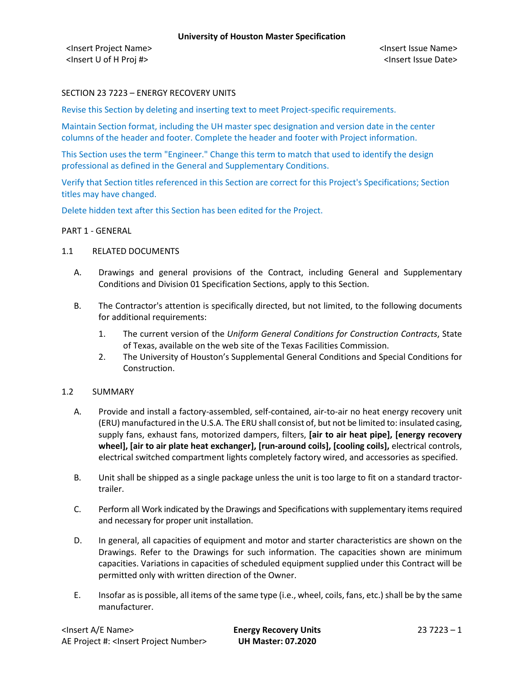# SECTION 23 7223 – ENERGY RECOVERY UNITS

Revise this Section by deleting and inserting text to meet Project-specific requirements.

Maintain Section format, including the UH master spec designation and version date in the center columns of the header and footer. Complete the header and footer with Project information.

This Section uses the term "Engineer." Change this term to match that used to identify the design professional as defined in the General and Supplementary Conditions.

Verify that Section titles referenced in this Section are correct for this Project's Specifications; Section titles may have changed.

Delete hidden text after this Section has been edited for the Project.

#### PART 1 - GENERAL

#### 1.1 RELATED DOCUMENTS

- A. Drawings and general provisions of the Contract, including General and Supplementary Conditions and Division 01 Specification Sections, apply to this Section.
- B. The Contractor's attention is specifically directed, but not limited, to the following documents for additional requirements:
	- 1. The current version of the *Uniform General Conditions for Construction Contracts*, State of Texas, available on the web site of the Texas Facilities Commission.
	- 2. The University of Houston's Supplemental General Conditions and Special Conditions for Construction.

### 1.2 SUMMARY

- A. Provide and install a factory-assembled, self-contained, air-to-air no heat energy recovery unit (ERU) manufactured in the U.S.A. The ERU shall consist of, but not be limited to: insulated casing, supply fans, exhaust fans, motorized dampers, filters, **[air to air heat pipe], [energy recovery wheel], [air to air plate heat exchanger], [run-around coils], [cooling coils],** electrical controls, electrical switched compartment lights completely factory wired, and accessories as specified.
- B. Unit shall be shipped as a single package unless the unit is too large to fit on a standard tractortrailer.
- C. Perform all Work indicated by the Drawings and Specifications with supplementary items required and necessary for proper unit installation.
- D. In general, all capacities of equipment and motor and starter characteristics are shown on the Drawings. Refer to the Drawings for such information. The capacities shown are minimum capacities. Variations in capacities of scheduled equipment supplied under this Contract will be permitted only with written direction of the Owner.
- E. Insofar as is possible, all items of the same type (i.e., wheel, coils, fans, etc.) shall be by the same manufacturer.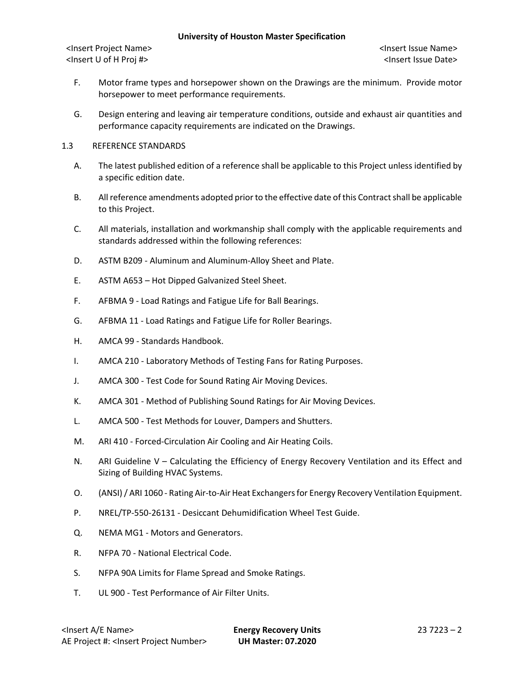- F. Motor frame types and horsepower shown on the Drawings are the minimum. Provide motor horsepower to meet performance requirements.
- G. Design entering and leaving air temperature conditions, outside and exhaust air quantities and performance capacity requirements are indicated on the Drawings.
- 1.3 REFERENCE STANDARDS
	- A. The latest published edition of a reference shall be applicable to this Project unless identified by a specific edition date.
	- B. All reference amendments adopted prior to the effective date of this Contractshall be applicable to this Project.
	- C. All materials, installation and workmanship shall comply with the applicable requirements and standards addressed within the following references:
	- D. ASTM B209 Aluminum and Aluminum-Alloy Sheet and Plate.
	- E. ASTM A653 Hot Dipped Galvanized Steel Sheet.
	- F. AFBMA 9 Load Ratings and Fatigue Life for Ball Bearings.
	- G. AFBMA 11 Load Ratings and Fatigue Life for Roller Bearings.
	- H. AMCA 99 Standards Handbook.
	- I. AMCA 210 Laboratory Methods of Testing Fans for Rating Purposes.
	- J. AMCA 300 Test Code for Sound Rating Air Moving Devices.
	- K. AMCA 301 Method of Publishing Sound Ratings for Air Moving Devices.
	- L. AMCA 500 Test Methods for Louver, Dampers and Shutters.
	- M. ARI 410 Forced-Circulation Air Cooling and Air Heating Coils.
	- N. ARI Guideline V Calculating the Efficiency of Energy Recovery Ventilation and its Effect and Sizing of Building HVAC Systems.
	- O. (ANSI) / ARI 1060 Rating Air-to-Air Heat Exchangers for Energy Recovery Ventilation Equipment.
	- P. NREL/TP-550-26131 Desiccant Dehumidification Wheel Test Guide.
	- Q. NEMA MG1 Motors and Generators.
	- R. NFPA 70 National Electrical Code.
	- S. NFPA 90A Limits for Flame Spread and Smoke Ratings.
	- T. UL 900 Test Performance of Air Filter Units.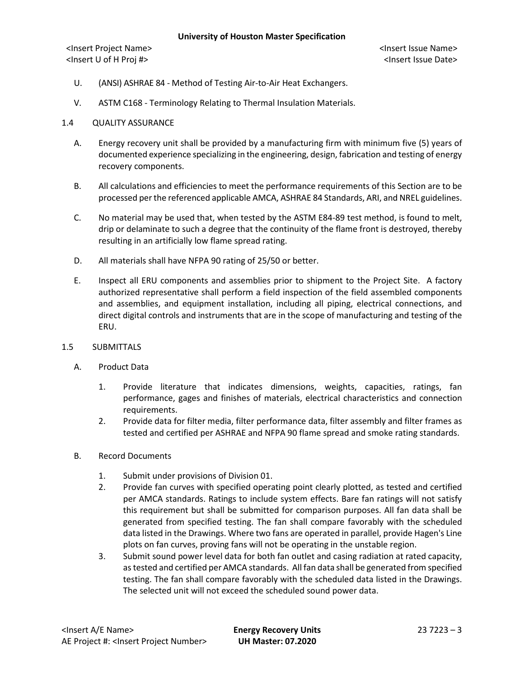- U. (ANSI) ASHRAE 84 Method of Testing Air-to-Air Heat Exchangers.
- V. ASTM C168 Terminology Relating to Thermal Insulation Materials.
- 1.4 QUALITY ASSURANCE
	- A. Energy recovery unit shall be provided by a manufacturing firm with minimum five (5) years of documented experience specializing in the engineering, design, fabrication and testing of energy recovery components.
	- B. All calculations and efficiencies to meet the performance requirements of this Section are to be processed per the referenced applicable AMCA, ASHRAE 84 Standards, ARI, and NREL guidelines.
	- C. No material may be used that, when tested by the ASTM E84-89 test method, is found to melt, drip or delaminate to such a degree that the continuity of the flame front is destroyed, thereby resulting in an artificially low flame spread rating.
	- D. All materials shall have NFPA 90 rating of 25/50 or better.
	- E. Inspect all ERU components and assemblies prior to shipment to the Project Site. A factory authorized representative shall perform a field inspection of the field assembled components and assemblies, and equipment installation, including all piping, electrical connections, and direct digital controls and instruments that are in the scope of manufacturing and testing of the ERU.
- 1.5 SUBMITTALS
	- A. Product Data
		- 1. Provide literature that indicates dimensions, weights, capacities, ratings, fan performance, gages and finishes of materials, electrical characteristics and connection requirements.
		- 2. Provide data for filter media, filter performance data, filter assembly and filter frames as tested and certified per ASHRAE and NFPA 90 flame spread and smoke rating standards.
	- B. Record Documents
		- 1. Submit under provisions of Division 01.
		- 2. Provide fan curves with specified operating point clearly plotted, as tested and certified per AMCA standards. Ratings to include system effects. Bare fan ratings will not satisfy this requirement but shall be submitted for comparison purposes. All fan data shall be generated from specified testing. The fan shall compare favorably with the scheduled data listed in the Drawings. Where two fans are operated in parallel, provide Hagen's Line plots on fan curves, proving fans will not be operating in the unstable region.
		- 3. Submit sound power level data for both fan outlet and casing radiation at rated capacity, as tested and certified per AMCA standards. All fan data shall be generated from specified testing. The fan shall compare favorably with the scheduled data listed in the Drawings. The selected unit will not exceed the scheduled sound power data.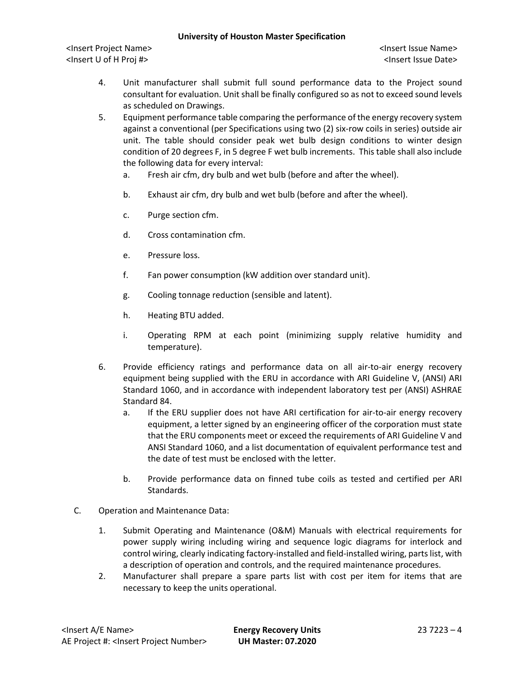- 4. Unit manufacturer shall submit full sound performance data to the Project sound consultant for evaluation. Unit shall be finally configured so as not to exceed sound levels as scheduled on Drawings.
- 5. Equipment performance table comparing the performance of the energy recovery system against a conventional (per Specifications using two (2) six-row coils in series) outside air unit. The table should consider peak wet bulb design conditions to winter design condition of 20 degrees F, in 5 degree F wet bulb increments. This table shall also include the following data for every interval:
	- a. Fresh air cfm, dry bulb and wet bulb (before and after the wheel).
	- b. Exhaust air cfm, dry bulb and wet bulb (before and after the wheel).
	- c. Purge section cfm.
	- d. Cross contamination cfm.
	- e. Pressure loss.
	- f. Fan power consumption (kW addition over standard unit).
	- g. Cooling tonnage reduction (sensible and latent).
	- h. Heating BTU added.
	- i. Operating RPM at each point (minimizing supply relative humidity and temperature).
- 6. Provide efficiency ratings and performance data on all air-to-air energy recovery equipment being supplied with the ERU in accordance with ARI Guideline V, (ANSI) ARI Standard 1060, and in accordance with independent laboratory test per (ANSI) ASHRAE Standard 84.
	- a. If the ERU supplier does not have ARI certification for air-to-air energy recovery equipment, a letter signed by an engineering officer of the corporation must state that the ERU components meet or exceed the requirements of ARI Guideline V and ANSI Standard 1060, and a list documentation of equivalent performance test and the date of test must be enclosed with the letter.
	- b. Provide performance data on finned tube coils as tested and certified per ARI Standards.
- C. Operation and Maintenance Data:
	- 1. Submit Operating and Maintenance (O&M) Manuals with electrical requirements for power supply wiring including wiring and sequence logic diagrams for interlock and control wiring, clearly indicating factory-installed and field-installed wiring, parts list, with a description of operation and controls, and the required maintenance procedures.
	- 2. Manufacturer shall prepare a spare parts list with cost per item for items that are necessary to keep the units operational.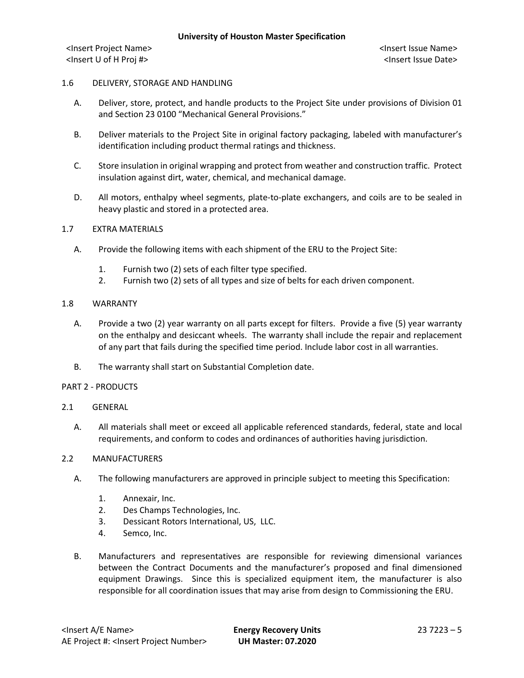## 1.6 DELIVERY, STORAGE AND HANDLING

- A. Deliver, store, protect, and handle products to the Project Site under provisions of Division 01 and Section 23 0100 "Mechanical General Provisions."
- B. Deliver materials to the Project Site in original factory packaging, labeled with manufacturer's identification including product thermal ratings and thickness.
- C. Store insulation in original wrapping and protect from weather and construction traffic. Protect insulation against dirt, water, chemical, and mechanical damage.
- D. All motors, enthalpy wheel segments, plate-to-plate exchangers, and coils are to be sealed in heavy plastic and stored in a protected area.

### 1.7 EXTRA MATERIALS

- A. Provide the following items with each shipment of the ERU to the Project Site:
	- 1. Furnish two (2) sets of each filter type specified.
	- 2. Furnish two (2) sets of all types and size of belts for each driven component.

### 1.8 WARRANTY

- A. Provide a two (2) year warranty on all parts except for filters. Provide a five (5) year warranty on the enthalpy and desiccant wheels. The warranty shall include the repair and replacement of any part that fails during the specified time period. Include labor cost in all warranties.
- B. The warranty shall start on Substantial Completion date.

### PART 2 - PRODUCTS

### 2.1 GENERAL

A. All materials shall meet or exceed all applicable referenced standards, federal, state and local requirements, and conform to codes and ordinances of authorities having jurisdiction.

### 2.2 MANUFACTURERS

- A. The following manufacturers are approved in principle subject to meeting this Specification:
	- 1. Annexair, Inc.
	- 2. Des Champs Technologies, Inc.
	- 3. Dessicant Rotors International, US, LLC.
	- 4. Semco, Inc.
- B. Manufacturers and representatives are responsible for reviewing dimensional variances between the Contract Documents and the manufacturer's proposed and final dimensioned equipment Drawings. Since this is specialized equipment item, the manufacturer is also responsible for all coordination issues that may arise from design to Commissioning the ERU.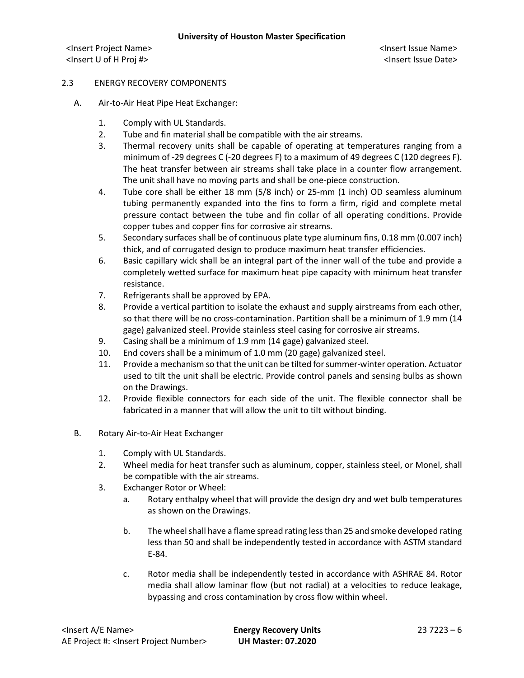## 2.3 ENERGY RECOVERY COMPONENTS

- A. Air-to-Air Heat Pipe Heat Exchanger:
	- 1. Comply with UL Standards.
	- 2. Tube and fin material shall be compatible with the air streams.
	- 3. Thermal recovery units shall be capable of operating at temperatures ranging from a minimum of -29 degrees C (-20 degrees F) to a maximum of 49 degrees C (120 degrees F). The heat transfer between air streams shall take place in a counter flow arrangement. The unit shall have no moving parts and shall be one-piece construction.
	- 4. Tube core shall be either 18 mm (5/8 inch) or 25-mm (1 inch) OD seamless aluminum tubing permanently expanded into the fins to form a firm, rigid and complete metal pressure contact between the tube and fin collar of all operating conditions. Provide copper tubes and copper fins for corrosive air streams.
	- 5. Secondary surfaces shall be of continuous plate type aluminum fins, 0.18 mm (0.007 inch) thick, and of corrugated design to produce maximum heat transfer efficiencies.
	- 6. Basic capillary wick shall be an integral part of the inner wall of the tube and provide a completely wetted surface for maximum heat pipe capacity with minimum heat transfer resistance.
	- 7. Refrigerants shall be approved by EPA.
	- 8. Provide a vertical partition to isolate the exhaust and supply airstreams from each other, so that there will be no cross-contamination. Partition shall be a minimum of 1.9 mm (14 gage) galvanized steel. Provide stainless steel casing for corrosive air streams.
	- 9. Casing shall be a minimum of 1.9 mm (14 gage) galvanized steel.
	- 10. End covers shall be a minimum of 1.0 mm (20 gage) galvanized steel.
	- 11. Provide a mechanism so that the unit can be tilted for summer-winter operation. Actuator used to tilt the unit shall be electric. Provide control panels and sensing bulbs as shown on the Drawings.
	- 12. Provide flexible connectors for each side of the unit. The flexible connector shall be fabricated in a manner that will allow the unit to tilt without binding.
- B. Rotary Air-to-Air Heat Exchanger
	- 1. Comply with UL Standards.
	- 2. Wheel media for heat transfer such as aluminum, copper, stainless steel, or Monel, shall be compatible with the air streams.
	- 3. Exchanger Rotor or Wheel:
		- a. Rotary enthalpy wheel that will provide the design dry and wet bulb temperatures as shown on the Drawings.
		- b. The wheel shall have a flame spread rating less than 25 and smoke developed rating less than 50 and shall be independently tested in accordance with ASTM standard E-84.
		- c. Rotor media shall be independently tested in accordance with ASHRAE 84. Rotor media shall allow laminar flow (but not radial) at a velocities to reduce leakage, bypassing and cross contamination by cross flow within wheel.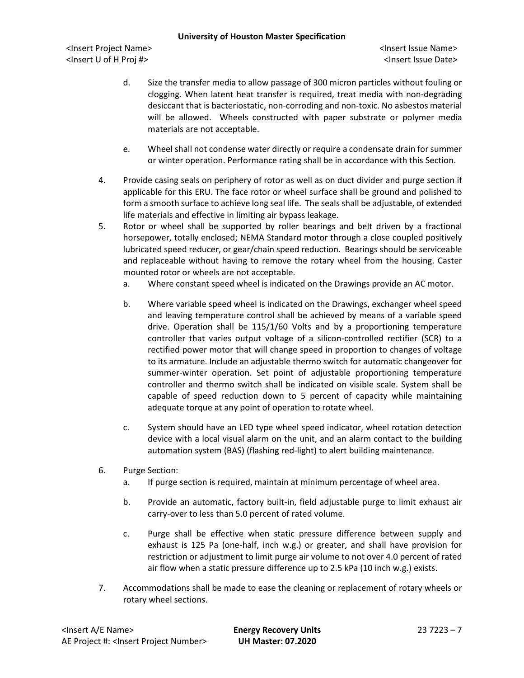- d. Size the transfer media to allow passage of 300 micron particles without fouling or clogging. When latent heat transfer is required, treat media with non-degrading desiccant that is bacteriostatic, non-corroding and non-toxic. No asbestos material will be allowed. Wheels constructed with paper substrate or polymer media materials are not acceptable.
- e. Wheel shall not condense water directly or require a condensate drain for summer or winter operation. Performance rating shall be in accordance with this Section.
- 4. Provide casing seals on periphery of rotor as well as on duct divider and purge section if applicable for this ERU. The face rotor or wheel surface shall be ground and polished to form a smooth surface to achieve long seal life. The seals shall be adjustable, of extended life materials and effective in limiting air bypass leakage.
- 5. Rotor or wheel shall be supported by roller bearings and belt driven by a fractional horsepower, totally enclosed; NEMA Standard motor through a close coupled positively lubricated speed reducer, or gear/chain speed reduction. Bearings should be serviceable and replaceable without having to remove the rotary wheel from the housing. Caster mounted rotor or wheels are not acceptable.
	- a. Where constant speed wheel is indicated on the Drawings provide an AC motor.
	- b. Where variable speed wheel is indicated on the Drawings, exchanger wheel speed and leaving temperature control shall be achieved by means of a variable speed drive. Operation shall be 115/1/60 Volts and by a proportioning temperature controller that varies output voltage of a silicon-controlled rectifier (SCR) to a rectified power motor that will change speed in proportion to changes of voltage to its armature. Include an adjustable thermo switch for automatic changeover for summer-winter operation. Set point of adjustable proportioning temperature controller and thermo switch shall be indicated on visible scale. System shall be capable of speed reduction down to 5 percent of capacity while maintaining adequate torque at any point of operation to rotate wheel.
	- c. System should have an LED type wheel speed indicator, wheel rotation detection device with a local visual alarm on the unit, and an alarm contact to the building automation system (BAS) (flashing red-light) to alert building maintenance.
- 6. Purge Section:
	- a. If purge section is required, maintain at minimum percentage of wheel area.
	- b. Provide an automatic, factory built-in, field adjustable purge to limit exhaust air carry-over to less than 5.0 percent of rated volume.
	- c. Purge shall be effective when static pressure difference between supply and exhaust is 125 Pa (one-half, inch w.g.) or greater, and shall have provision for restriction or adjustment to limit purge air volume to not over 4.0 percent of rated air flow when a static pressure difference up to 2.5 kPa (10 inch w.g.) exists.
- 7. Accommodations shall be made to ease the cleaning or replacement of rotary wheels or rotary wheel sections.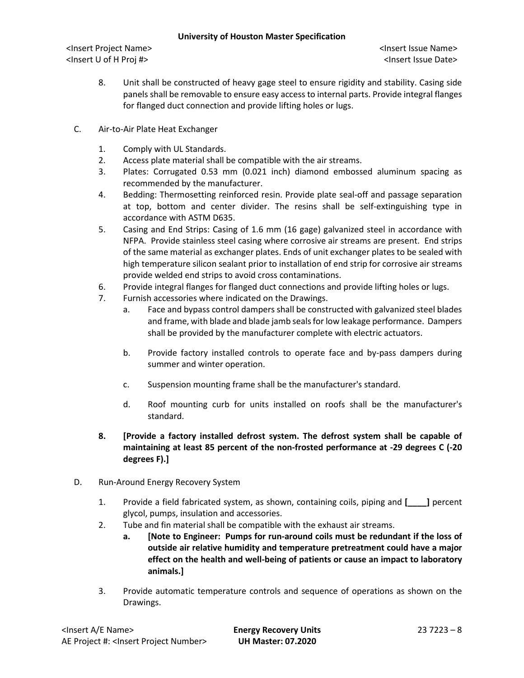- 8. Unit shall be constructed of heavy gage steel to ensure rigidity and stability. Casing side panels shall be removable to ensure easy access to internal parts. Provide integral flanges for flanged duct connection and provide lifting holes or lugs.
- C. Air-to-Air Plate Heat Exchanger
	- 1. Comply with UL Standards.
	- 2. Access plate material shall be compatible with the air streams.
	- 3. Plates: Corrugated 0.53 mm (0.021 inch) diamond embossed aluminum spacing as recommended by the manufacturer.
	- 4. Bedding: Thermosetting reinforced resin. Provide plate seal-off and passage separation at top, bottom and center divider. The resins shall be self-extinguishing type in accordance with ASTM D635.
	- 5. Casing and End Strips: Casing of 1.6 mm (16 gage) galvanized steel in accordance with NFPA. Provide stainless steel casing where corrosive air streams are present. End strips of the same material as exchanger plates. Ends of unit exchanger plates to be sealed with high temperature silicon sealant prior to installation of end strip for corrosive air streams provide welded end strips to avoid cross contaminations.
	- 6. Provide integral flanges for flanged duct connections and provide lifting holes or lugs.
	- 7. Furnish accessories where indicated on the Drawings.
		- a. Face and bypass control dampers shall be constructed with galvanized steel blades and frame, with blade and blade jamb seals for low leakage performance. Dampers shall be provided by the manufacturer complete with electric actuators.
		- b. Provide factory installed controls to operate face and by-pass dampers during summer and winter operation.
		- c. Suspension mounting frame shall be the manufacturer's standard.
		- d. Roof mounting curb for units installed on roofs shall be the manufacturer's standard.
	- **8. [Provide a factory installed defrost system. The defrost system shall be capable of maintaining at least 85 percent of the non-frosted performance at -29 degrees C (-20 degrees F).]**
- D. Run-Around Energy Recovery System
	- 1. Provide a field fabricated system, as shown, containing coils, piping and **[\_\_\_\_]** percent glycol, pumps, insulation and accessories.
	- 2. Tube and fin material shall be compatible with the exhaust air streams.
		- **a. [Note to Engineer: Pumps for run-around coils must be redundant if the loss of outside air relative humidity and temperature pretreatment could have a major effect on the health and well-being of patients or cause an impact to laboratory animals.]**
	- 3. Provide automatic temperature controls and sequence of operations as shown on the Drawings.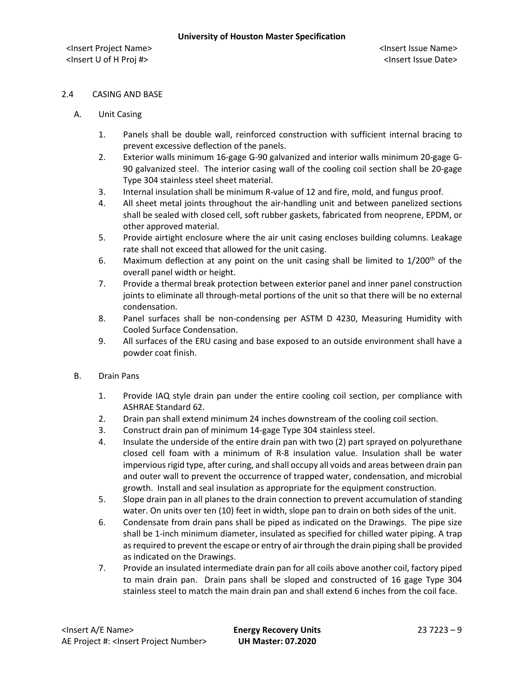## 2.4 CASING AND BASE

- A. Unit Casing
	- 1. Panels shall be double wall, reinforced construction with sufficient internal bracing to prevent excessive deflection of the panels.
	- 2. Exterior walls minimum 16-gage G-90 galvanized and interior walls minimum 20-gage G-90 galvanized steel. The interior casing wall of the cooling coil section shall be 20-gage Type 304 stainless steel sheet material.
	- 3. Internal insulation shall be minimum R-value of 12 and fire, mold, and fungus proof.
	- 4. All sheet metal joints throughout the air-handling unit and between panelized sections shall be sealed with closed cell, soft rubber gaskets, fabricated from neoprene, EPDM, or other approved material.
	- 5. Provide airtight enclosure where the air unit casing encloses building columns. Leakage rate shall not exceed that allowed for the unit casing.
	- 6. Maximum deflection at any point on the unit casing shall be limited to  $1/200<sup>th</sup>$  of the overall panel width or height.
	- 7. Provide a thermal break protection between exterior panel and inner panel construction joints to eliminate all through-metal portions of the unit so that there will be no external condensation.
	- 8. Panel surfaces shall be non-condensing per ASTM D 4230, Measuring Humidity with Cooled Surface Condensation.
	- 9. All surfaces of the ERU casing and base exposed to an outside environment shall have a powder coat finish.
- B. Drain Pans
	- 1. Provide IAQ style drain pan under the entire cooling coil section, per compliance with ASHRAE Standard 62.
	- 2. Drain pan shall extend minimum 24 inches downstream of the cooling coil section.
	- 3. Construct drain pan of minimum 14-gage Type 304 stainless steel.
	- 4. Insulate the underside of the entire drain pan with two (2) part sprayed on polyurethane closed cell foam with a minimum of R-8 insulation value. Insulation shall be water impervious rigid type, after curing, and shall occupy all voids and areas between drain pan and outer wall to prevent the occurrence of trapped water, condensation, and microbial growth. Install and seal insulation as appropriate for the equipment construction.
	- 5. Slope drain pan in all planes to the drain connection to prevent accumulation of standing water. On units over ten (10) feet in width, slope pan to drain on both sides of the unit.
	- 6. Condensate from drain pans shall be piped as indicated on the Drawings. The pipe size shall be 1-inch minimum diameter, insulated as specified for chilled water piping. A trap as required to prevent the escape or entry of air through the drain piping shall be provided as indicated on the Drawings.
	- 7. Provide an insulated intermediate drain pan for all coils above another coil, factory piped to main drain pan. Drain pans shall be sloped and constructed of 16 gage Type 304 stainless steel to match the main drain pan and shall extend 6 inches from the coil face.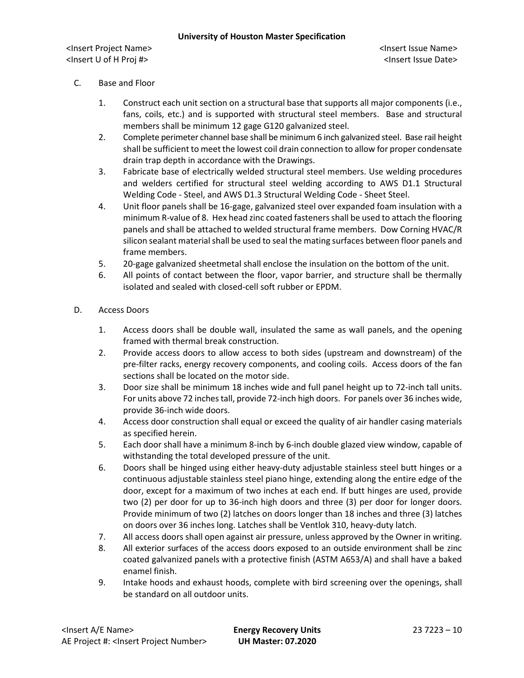## C. Base and Floor

- 1. Construct each unit section on a structural base that supports all major components (i.e., fans, coils, etc.) and is supported with structural steel members. Base and structural members shall be minimum 12 gage G120 galvanized steel.
- 2. Complete perimeter channel base shall be minimum 6 inch galvanized steel. Base rail height shall be sufficient to meet the lowest coil drain connection to allow for proper condensate drain trap depth in accordance with the Drawings.
- 3. Fabricate base of electrically welded structural steel members. Use welding procedures and welders certified for structural steel welding according to AWS D1.1 Structural Welding Code - Steel, and AWS D1.3 Structural Welding Code - Sheet Steel.
- 4. Unit floor panels shall be 16-gage, galvanized steel over expanded foam insulation with a minimum R-value of 8. Hex head zinc coated fasteners shall be used to attach the flooring panels and shall be attached to welded structural frame members. Dow Corning HVAC/R silicon sealant material shall be used to seal the mating surfaces between floor panels and frame members.
- 5. 20-gage galvanized sheetmetal shall enclose the insulation on the bottom of the unit.
- 6. All points of contact between the floor, vapor barrier, and structure shall be thermally isolated and sealed with closed-cell soft rubber or EPDM.

## D. Access Doors

- 1. Access doors shall be double wall, insulated the same as wall panels, and the opening framed with thermal break construction.
- 2. Provide access doors to allow access to both sides (upstream and downstream) of the pre-filter racks, energy recovery components, and cooling coils. Access doors of the fan sections shall be located on the motor side.
- 3. Door size shall be minimum 18 inches wide and full panel height up to 72-inch tall units. For units above 72 inches tall, provide 72-inch high doors. For panels over 36 inches wide, provide 36-inch wide doors.
- 4. Access door construction shall equal or exceed the quality of air handler casing materials as specified herein.
- 5. Each door shall have a minimum 8-inch by 6-inch double glazed view window, capable of withstanding the total developed pressure of the unit.
- 6. Doors shall be hinged using either heavy-duty adjustable stainless steel butt hinges or a continuous adjustable stainless steel piano hinge, extending along the entire edge of the door, except for a maximum of two inches at each end. If butt hinges are used, provide two (2) per door for up to 36-inch high doors and three (3) per door for longer doors. Provide minimum of two (2) latches on doors longer than 18 inches and three (3) latches on doors over 36 inches long. Latches shall be Ventlok 310, heavy-duty latch.
- 7. All access doors shall open against air pressure, unless approved by the Owner in writing.
- 8. All exterior surfaces of the access doors exposed to an outside environment shall be zinc coated galvanized panels with a protective finish (ASTM A653/A) and shall have a baked enamel finish.
- 9. Intake hoods and exhaust hoods, complete with bird screening over the openings, shall be standard on all outdoor units.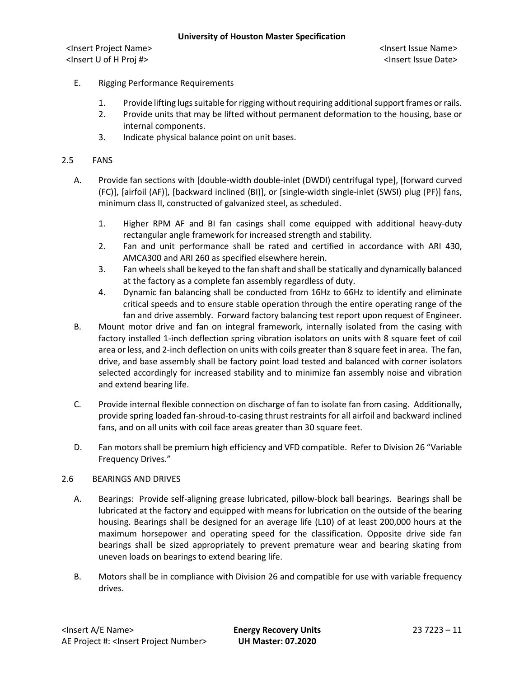- E. Rigging Performance Requirements
	- 1. Provide lifting lugs suitable for rigging without requiring additional support frames or rails.
	- 2. Provide units that may be lifted without permanent deformation to the housing, base or internal components.
	- 3. Indicate physical balance point on unit bases.

#### 2.5 FANS

- A. Provide fan sections with [double-width double-inlet (DWDI) centrifugal type], [forward curved (FC)], [airfoil (AF)], [backward inclined (BI)], or [single-width single-inlet (SWSI) plug (PF)] fans, minimum class II, constructed of galvanized steel, as scheduled.
	- 1. Higher RPM AF and BI fan casings shall come equipped with additional heavy-duty rectangular angle framework for increased strength and stability.
	- 2. Fan and unit performance shall be rated and certified in accordance with ARI 430, AMCA300 and ARI 260 as specified elsewhere herein.
	- 3. Fan wheels shall be keyed to the fan shaft and shall be statically and dynamically balanced at the factory as a complete fan assembly regardless of duty.
	- 4. Dynamic fan balancing shall be conducted from 16Hz to 66Hz to identify and eliminate critical speeds and to ensure stable operation through the entire operating range of the fan and drive assembly. Forward factory balancing test report upon request of Engineer.
- B. Mount motor drive and fan on integral framework, internally isolated from the casing with factory installed 1-inch deflection spring vibration isolators on units with 8 square feet of coil area or less, and 2-inch deflection on units with coils greater than 8 square feet in area. The fan, drive, and base assembly shall be factory point load tested and balanced with corner isolators selected accordingly for increased stability and to minimize fan assembly noise and vibration and extend bearing life.
- C. Provide internal flexible connection on discharge of fan to isolate fan from casing. Additionally, provide spring loaded fan-shroud-to-casing thrust restraints for all airfoil and backward inclined fans, and on all units with coil face areas greater than 30 square feet.
- D. Fan motors shall be premium high efficiency and VFD compatible. Refer to Division 26 "Variable Frequency Drives."

### 2.6 BEARINGS AND DRIVES

- A. Bearings: Provide self-aligning grease lubricated, pillow-block ball bearings. Bearings shall be lubricated at the factory and equipped with means for lubrication on the outside of the bearing housing. Bearings shall be designed for an average life (L10) of at least 200,000 hours at the maximum horsepower and operating speed for the classification. Opposite drive side fan bearings shall be sized appropriately to prevent premature wear and bearing skating from uneven loads on bearings to extend bearing life.
- B. Motors shall be in compliance with Division 26 and compatible for use with variable frequency drives.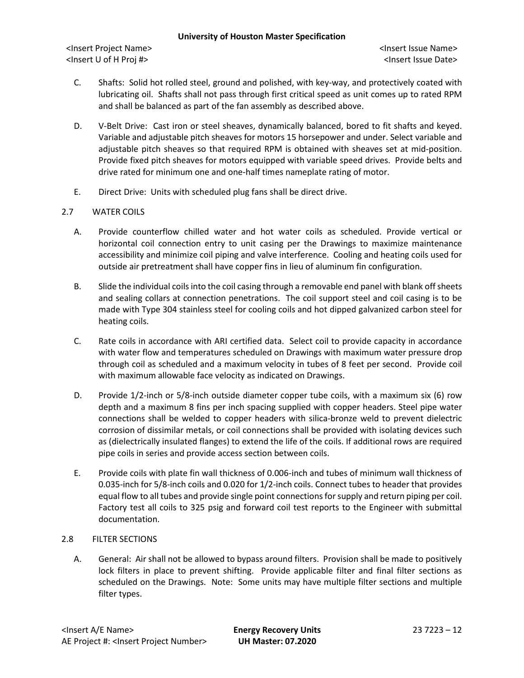- C. Shafts: Solid hot rolled steel, ground and polished, with key-way, and protectively coated with lubricating oil. Shafts shall not pass through first critical speed as unit comes up to rated RPM and shall be balanced as part of the fan assembly as described above.
- D. V-Belt Drive: Cast iron or steel sheaves, dynamically balanced, bored to fit shafts and keyed. Variable and adjustable pitch sheaves for motors 15 horsepower and under. Select variable and adjustable pitch sheaves so that required RPM is obtained with sheaves set at mid-position. Provide fixed pitch sheaves for motors equipped with variable speed drives. Provide belts and drive rated for minimum one and one-half times nameplate rating of motor.
- E. Direct Drive: Units with scheduled plug fans shall be direct drive.

# 2.7 WATER COILS

- A. Provide counterflow chilled water and hot water coils as scheduled. Provide vertical or horizontal coil connection entry to unit casing per the Drawings to maximize maintenance accessibility and minimize coil piping and valve interference. Cooling and heating coils used for outside air pretreatment shall have copper fins in lieu of aluminum fin configuration.
- B. Slide the individual coils into the coil casing through a removable end panel with blank off sheets and sealing collars at connection penetrations. The coil support steel and coil casing is to be made with Type 304 stainless steel for cooling coils and hot dipped galvanized carbon steel for heating coils.
- C. Rate coils in accordance with ARI certified data. Select coil to provide capacity in accordance with water flow and temperatures scheduled on Drawings with maximum water pressure drop through coil as scheduled and a maximum velocity in tubes of 8 feet per second. Provide coil with maximum allowable face velocity as indicated on Drawings.
- D. Provide 1/2-inch or 5/8-inch outside diameter copper tube coils, with a maximum six (6) row depth and a maximum 8 fins per inch spacing supplied with copper headers. Steel pipe water connections shall be welded to copper headers with silica-bronze weld to prevent dielectric corrosion of dissimilar metals, or coil connections shall be provided with isolating devices such as (dielectrically insulated flanges) to extend the life of the coils. If additional rows are required pipe coils in series and provide access section between coils.
- E. Provide coils with plate fin wall thickness of 0.006-inch and tubes of minimum wall thickness of 0.035-inch for 5/8-inch coils and 0.020 for 1/2-inch coils. Connect tubes to header that provides equal flow to all tubes and provide single point connections for supply and return piping per coil. Factory test all coils to 325 psig and forward coil test reports to the Engineer with submittal documentation.

# 2.8 FILTER SECTIONS

A. General: Air shall not be allowed to bypass around filters. Provision shall be made to positively lock filters in place to prevent shifting. Provide applicable filter and final filter sections as scheduled on the Drawings. Note: Some units may have multiple filter sections and multiple filter types.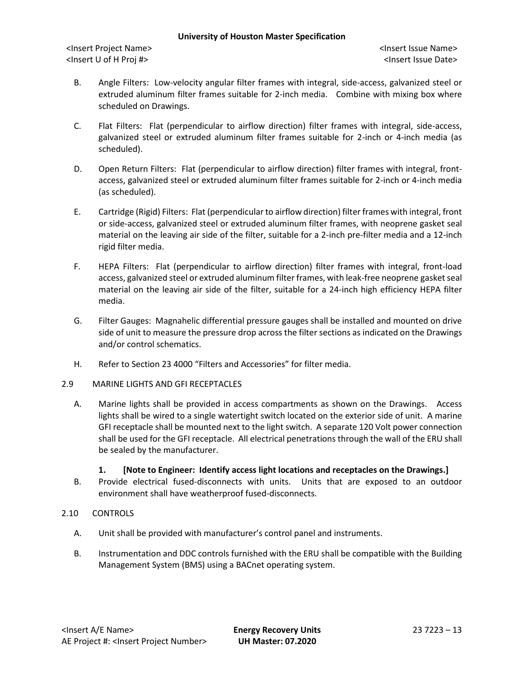<Insert Project Name> <Insert Issue Name> <Insert U of H Proj #> <Insert Issue Date>

- B. Angle Filters: Low-velocity angular filter frames with integral, side-access, galvanized steel or extruded aluminum filter frames suitable for 2-inch media. Combine with mixing box where scheduled on Drawings.
- C. Flat Filters: Flat (perpendicular to airflow direction) filter frames with integral, side-access, galvanized steel or extruded aluminum filter frames suitable for 2-inch or 4-inch media (as scheduled).
- D. Open Return Filters: Flat (perpendicular to airflow direction) filter frames with integral, frontaccess, galvanized steel or extruded aluminum filter frames suitable for 2-inch or 4-inch media (as scheduled).
- E. Cartridge (Rigid) Filters: Flat (perpendicular to airflow direction) filter frames with integral, front or side-access, galvanized steel or extruded aluminum filter frames, with neoprene gasket seal material on the leaving air side of the filter, suitable for a 2-inch pre-filter media and a 12-inch rigid filter media.
- F. HEPA Filters: Flat (perpendicular to airflow direction) filter frames with integral, front-load access, galvanized steel or extruded aluminum filter frames, with leak-free neoprene gasket seal material on the leaving air side of the filter, suitable for a 24-inch high efficiency HEPA filter media.
- G. Filter Gauges: Magnahelic differential pressure gauges shall be installed and mounted on drive side of unit to measure the pressure drop across the filter sections as indicated on the Drawings and/or control schematics.
- H. Refer to Section 23 4000 "Filters and Accessories" for filter media.
- 2.9 MARINE LIGHTS AND GFI RECEPTACLES
	- A. Marine lights shall be provided in access compartments as shown on the Drawings. Access lights shall be wired to a single watertight switch located on the exterior side of unit. A marine GFI receptacle shall be mounted next to the light switch. A separate 120 Volt power connection shall be used for the GFI receptacle. All electrical penetrations through the wall of the ERU shall be sealed by the manufacturer.

### **1. [Note to Engineer: Identify access light locations and receptacles on the Drawings.]**

B. Provide electrical fused-disconnects with units. Units that are exposed to an outdoor environment shall have weatherproof fused-disconnects.

# 2.10 CONTROLS

- A. Unit shall be provided with manufacturer's control panel and instruments.
- B. Instrumentation and DDC controls furnished with the ERU shall be compatible with the Building Management System (BMS) using a BACnet operating system.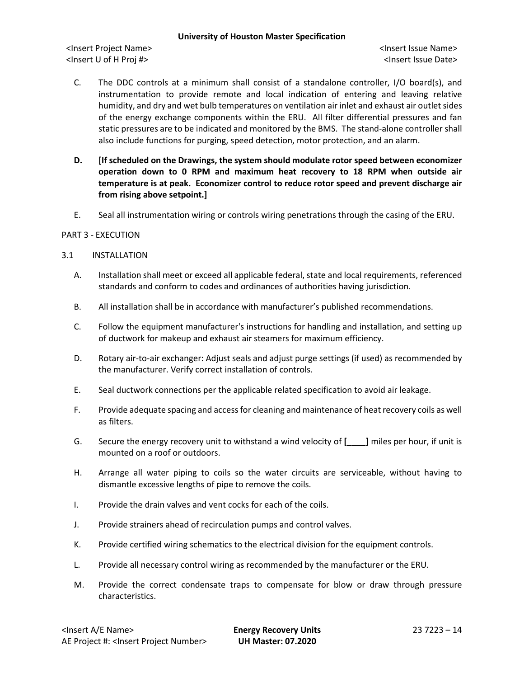<Insert Project Name> <Insert Issue Name> <Insert U of H Proj #> <Insert Issue Date>

- C. The DDC controls at a minimum shall consist of a standalone controller, I/O board(s), and instrumentation to provide remote and local indication of entering and leaving relative humidity, and dry and wet bulb temperatures on ventilation air inlet and exhaust air outlet sides of the energy exchange components within the ERU. All filter differential pressures and fan static pressures are to be indicated and monitored by the BMS. The stand-alone controller shall also include functions for purging, speed detection, motor protection, and an alarm.
- **D. [If scheduled on the Drawings, the system should modulate rotor speed between economizer operation down to 0 RPM and maximum heat recovery to 18 RPM when outside air temperature is at peak. Economizer control to reduce rotor speed and prevent discharge air from rising above setpoint.]**
- E. Seal all instrumentation wiring or controls wiring penetrations through the casing of the ERU.

### PART 3 - EXECUTION

## 3.1 INSTALLATION

- A. Installation shall meet or exceed all applicable federal, state and local requirements, referenced standards and conform to codes and ordinances of authorities having jurisdiction.
- B. All installation shall be in accordance with manufacturer's published recommendations.
- C. Follow the equipment manufacturer's instructions for handling and installation, and setting up of ductwork for makeup and exhaust air steamers for maximum efficiency.
- D. Rotary air-to-air exchanger: Adjust seals and adjust purge settings (if used) as recommended by the manufacturer. Verify correct installation of controls.
- E. Seal ductwork connections per the applicable related specification to avoid air leakage.
- F. Provide adequate spacing and access for cleaning and maintenance of heat recovery coils as well as filters.
- G. Secure the energy recovery unit to withstand a wind velocity of **[\_\_\_\_]** miles per hour, if unit is mounted on a roof or outdoors.
- H. Arrange all water piping to coils so the water circuits are serviceable, without having to dismantle excessive lengths of pipe to remove the coils.
- I. Provide the drain valves and vent cocks for each of the coils.
- J. Provide strainers ahead of recirculation pumps and control valves.
- K. Provide certified wiring schematics to the electrical division for the equipment controls.
- L. Provide all necessary control wiring as recommended by the manufacturer or the ERU.
- M. Provide the correct condensate traps to compensate for blow or draw through pressure characteristics.